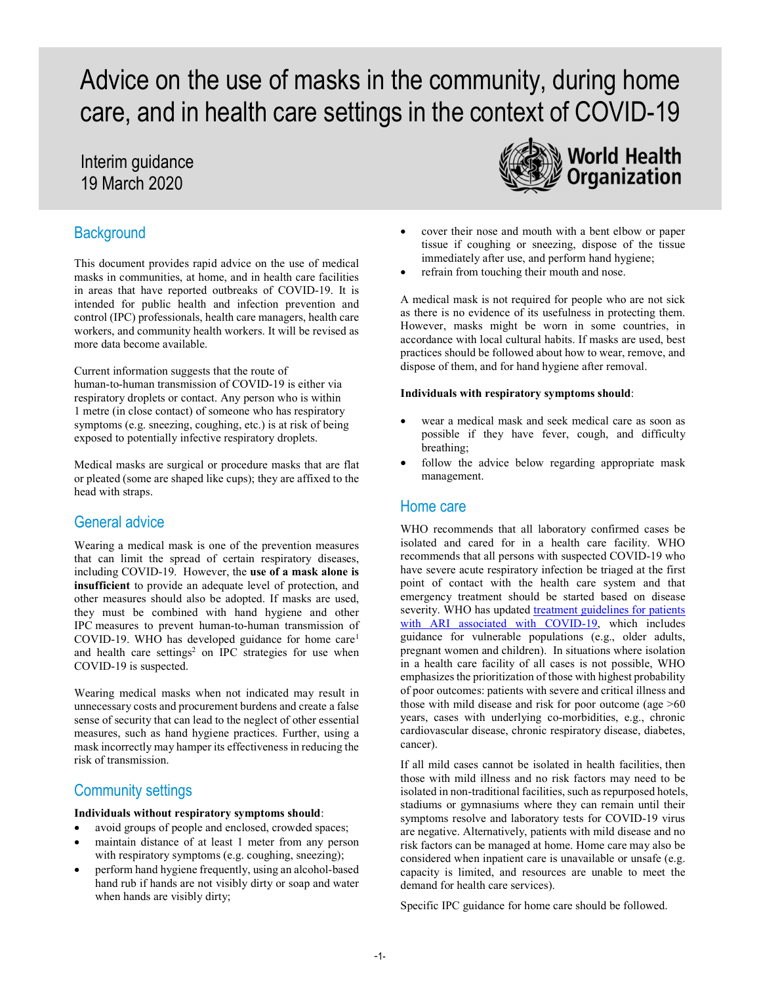# Advice on the use of masks in the community, during home care, and in health care settings in the context of COVID-19

## Interim guidance 19 March 2020

## **Background**

This document provides rapid advice on the use of medical masks in communities, at home, and in health care facilities in areas that have reported outbreaks of COVID-19. It is intended for public health and infection prevention and control (IPC) professionals, health care managers, health care workers, and community health workers. It will be revised as more data become available.

Current information suggests that the route of human-to-human transmission of COVID-19 is either via respiratory droplets or contact. Any person who is within 1 metre (in close contact) of someone who has respiratory symptoms (e.g. sneezing, coughing, etc.) is at risk of being exposed to potentially infective respiratory droplets.

Medical masks are surgical or procedure masks that are flat or pleated (some are shaped like cups); they are affixed to the head with straps.

## General advice

Wearing a medical mask is one of the prevention measures that can limit the spread of certain respiratory diseases, including COVID-19. However, the use of a mask alone is insufficient to provide an adequate level of protection, and other measures should also be adopted. If masks are used, they must be combined with hand hygiene and other IPC measures to prevent human-to-human transmission of COVID-19. WHO has developed guidance for home care<sup>1</sup> and health care settings<sup>2</sup> on IPC strategies for use when COVID-19 is suspected.

Wearing medical masks when not indicated may result in unnecessary costs and procurement burdens and create a false sense of security that can lead to the neglect of other essential measures, such as hand hygiene practices. Further, using a mask incorrectly may hamper its effectiveness in reducing the risk of transmission.

### Community settings

#### Individuals without respiratory symptoms should:

- avoid groups of people and enclosed, crowded spaces;
- maintain distance of at least 1 meter from any person with respiratory symptoms (e.g. coughing, sneezing);
- perform hand hygiene frequently, using an alcohol-based hand rub if hands are not visibly dirty or soap and water when hands are visibly dirty;



- cover their nose and mouth with a bent elbow or paper tissue if coughing or sneezing, dispose of the tissue immediately after use, and perform hand hygiene;
- refrain from touching their mouth and nose.

A medical mask is not required for people who are not sick as there is no evidence of its usefulness in protecting them. However, masks might be worn in some countries, in accordance with local cultural habits. If masks are used, best practices should be followed about how to wear, remove, and dispose of them, and for hand hygiene after removal.

#### Individuals with respiratory symptoms should:

- wear a medical mask and seek medical care as soon as possible if they have fever, cough, and difficulty breathing;
- follow the advice below regarding appropriate mask management.

#### Home care

WHO recommends that all laboratory confirmed cases be isolated and cared for in a health care facility. WHO recommends that all persons with suspected COVID-19 who have severe acute respiratory infection be triaged at the first point of contact with the health care system and that emergency treatment should be started based on disease severity. WHO has updated treatment guidelines for patients with ARI associated with COVID-19, which includes guidance for vulnerable populations (e.g., older adults, pregnant women and children). In situations where isolation in a health care facility of all cases is not possible, WHO emphasizes the prioritization of those with highest probability of poor outcomes: patients with severe and critical illness and those with mild disease and risk for poor outcome (age >60 years, cases with underlying co-morbidities, e.g., chronic cardiovascular disease, chronic respiratory disease, diabetes, cancer).

If all mild cases cannot be isolated in health facilities, then those with mild illness and no risk factors may need to be isolated in non-traditional facilities, such as repurposed hotels, stadiums or gymnasiums where they can remain until their symptoms resolve and laboratory tests for COVID-19 virus are negative. Alternatively, patients with mild disease and no risk factors can be managed at home. Home care may also be considered when inpatient care is unavailable or unsafe (e.g. capacity is limited, and resources are unable to meet the demand for health care services).

Specific IPC guidance for home care should be followed.